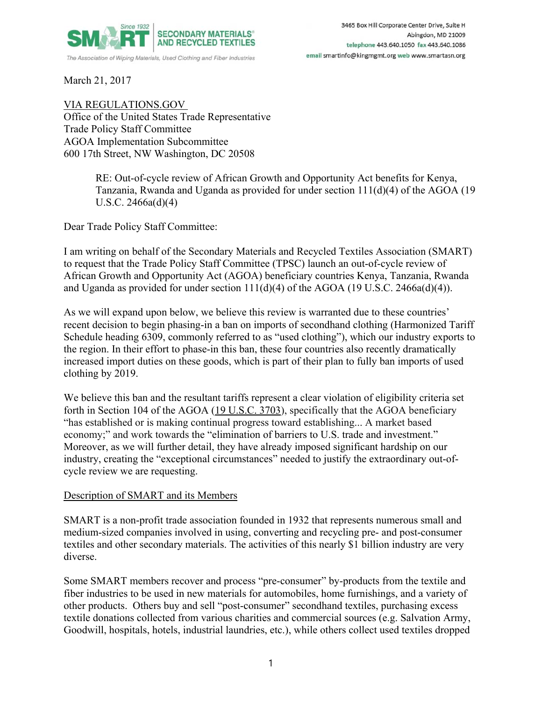

March 21, 2017

VIA REGULATIONS.GOV Office of the United States Trade Representative Trade Policy Staff Committee AGOA Implementation Subcommittee 600 17th Street, NW Washington, DC 20508

> RE: Out-of-cycle review of African Growth and Opportunity Act benefits for Kenya, Tanzania, Rwanda and Uganda as provided for under section 111(d)(4) of the AGOA (19 U.S.C. 2466a(d)(4)

Dear Trade Policy Staff Committee:

I am writing on behalf of the Secondary Materials and Recycled Textiles Association (SMART) to request that the Trade Policy Staff Committee (TPSC) launch an out-of-cycle review of African Growth and Opportunity Act (AGOA) beneficiary countries Kenya, Tanzania, Rwanda and Uganda as provided for under section  $111(d)(4)$  of the AGOA (19 U.S.C. 2466a(d)(4)).

As we will expand upon below, we believe this review is warranted due to these countries' recent decision to begin phasing-in a ban on imports of secondhand clothing (Harmonized Tariff Schedule heading 6309, commonly referred to as "used clothing"), which our industry exports to the region. In their effort to phase-in this ban, these four countries also recently dramatically increased import duties on these goods, which is part of their plan to fully ban imports of used clothing by 2019.

We believe this ban and the resultant tariffs represent a clear violation of eligibility criteria set forth in Section 104 of the AGOA (19 U.S.C. 3703), specifically that the AGOA beneficiary "has established or is making continual progress toward establishing... A market based economy;" and work towards the "elimination of barriers to U.S. trade and investment." Moreover, as we will further detail, they have already imposed significant hardship on our industry, creating the "exceptional circumstances" needed to justify the extraordinary out-ofcycle review we are requesting.

## Description of SMART and its Members

SMART is a non-profit trade association founded in 1932 that represents numerous small and medium-sized companies involved in using, converting and recycling pre- and post-consumer textiles and other secondary materials. The activities of this nearly \$1 billion industry are very diverse.

Some SMART members recover and process "pre-consumer" by-products from the textile and fiber industries to be used in new materials for automobiles, home furnishings, and a variety of other products. Others buy and sell "post-consumer" secondhand textiles, purchasing excess textile donations collected from various charities and commercial sources (e.g. Salvation Army, Goodwill, hospitals, hotels, industrial laundries, etc.), while others collect used textiles dropped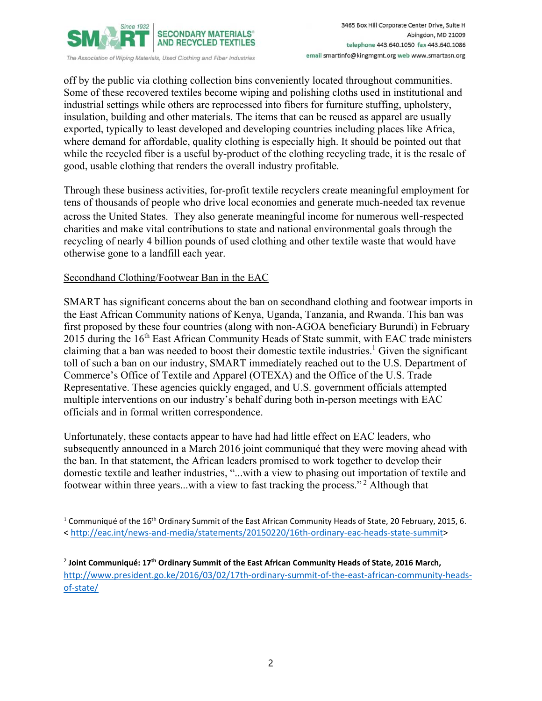

off by the public via clothing collection bins conveniently located throughout communities. Some of these recovered textiles become wiping and polishing cloths used in institutional and industrial settings while others are reprocessed into fibers for furniture stuffing, upholstery, insulation, building and other materials. The items that can be reused as apparel are usually exported, typically to least developed and developing countries including places like Africa, where demand for affordable, quality clothing is especially high. It should be pointed out that while the recycled fiber is a useful by-product of the clothing recycling trade, it is the resale of good, usable clothing that renders the overall industry profitable.

Through these business activities, for-profit textile recyclers create meaningful employment for tens of thousands of people who drive local economies and generate much-needed tax revenue across the United States. They also generate meaningful income for numerous well-respected charities and make vital contributions to state and national environmental goals through the recycling of nearly 4 billion pounds of used clothing and other textile waste that would have otherwise gone to a landfill each year.

## Secondhand Clothing/Footwear Ban in the EAC

SMART has significant concerns about the ban on secondhand clothing and footwear imports in the East African Community nations of Kenya, Uganda, Tanzania, and Rwanda. This ban was first proposed by these four countries (along with non-AGOA beneficiary Burundi) in February 2015 during the 16<sup>th</sup> East African Community Heads of State summit, with EAC trade ministers claiming that a ban was needed to boost their domestic textile industries.<sup>1</sup> Given the significant toll of such a ban on our industry, SMART immediately reached out to the U.S. Department of Commerce's Office of Textile and Apparel (OTEXA) and the Office of the U.S. Trade Representative. These agencies quickly engaged, and U.S. government officials attempted multiple interventions on our industry's behalf during both in-person meetings with EAC officials and in formal written correspondence.

Unfortunately, these contacts appear to have had had little effect on EAC leaders, who subsequently announced in a March 2016 joint communiqué that they were moving ahead with the ban. In that statement, the African leaders promised to work together to develop their domestic textile and leather industries, "...with a view to phasing out importation of textile and footwear within three years...with a view to fast tracking the process." 2 Although that

<sup>&</sup>lt;sup>1</sup> Communiqué of the 16<sup>th</sup> Ordinary Summit of the East African Community Heads of State, 20 February, 2015, 6. [< http://eac.int/news‐and‐media/statements/20150220/16th‐ordinary‐eac‐heads‐state‐summit>](http://eac.int/news-and-media/statements/20150220/16th-ordinary-eac-heads-state-summit)

<sup>2</sup> **Joint Communiqué: 17th Ordinary Summit of the East African Community Heads of State, 2016 March,** http://www.president.go.ke/2016/03/02/17th-ordinary-summit-of-the-east-african-community-headsof‐state/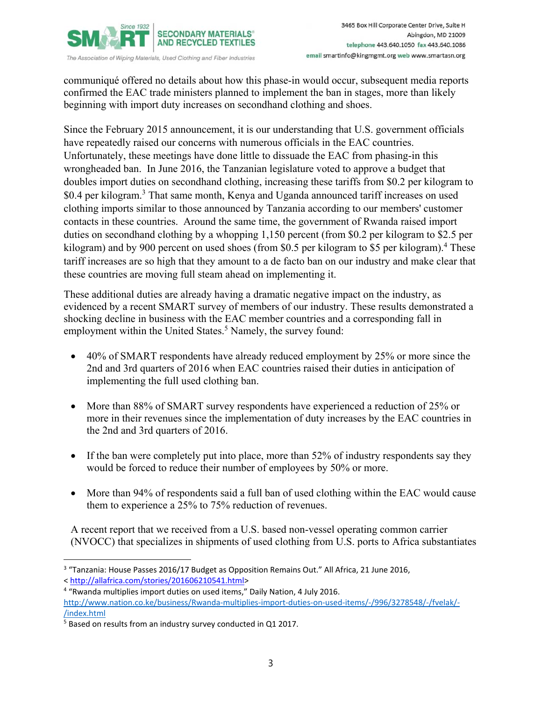

3465 Box Hill Corporate Center Drive, Suite H Abingdon, MD 21009 telephone 443.640.1050 fax 443.640.1086 email smartinfo@kingmgmt.org web www.smartasn.org

The Association of Wiping Materials, Used Clothing and Fiber Industries

communiqué offered no details about how this phase-in would occur, subsequent media reports confirmed the EAC trade ministers planned to implement the ban in stages, more than likely beginning with import duty increases on secondhand clothing and shoes.

Since the February 2015 announcement, it is our understanding that U.S. government officials have repeatedly raised our concerns with numerous officials in the EAC countries. Unfortunately, these meetings have done little to dissuade the EAC from phasing-in this wrongheaded ban. In June 2016, the Tanzanian legislature voted to approve a budget that doubles import duties on secondhand clothing, increasing these tariffs from \$0.2 per kilogram to \$0.4 per kilogram.<sup>3</sup> That same month, Kenya and Uganda announced tariff increases on used clothing imports similar to those announced by Tanzania according to our members' customer contacts in these countries. Around the same time, the government of Rwanda raised import duties on secondhand clothing by a whopping 1,150 percent (from \$0.2 per kilogram to \$2.5 per kilogram) and by 900 percent on used shoes (from \$0.5 per kilogram to \$5 per kilogram).<sup>4</sup> These tariff increases are so high that they amount to a de facto ban on our industry and make clear that these countries are moving full steam ahead on implementing it.

These additional duties are already having a dramatic negative impact on the industry, as evidenced by a recent SMART survey of members of our industry. These results demonstrated a shocking decline in business with the EAC member countries and a corresponding fall in employment within the United States.<sup>5</sup> Namely, the survey found:

- 40% of SMART respondents have already reduced employment by 25% or more since the 2nd and 3rd quarters of 2016 when EAC countries raised their duties in anticipation of implementing the full used clothing ban.
- More than 88% of SMART survey respondents have experienced a reduction of 25% or more in their revenues since the implementation of duty increases by the EAC countries in the 2nd and 3rd quarters of 2016.
- If the ban were completely put into place, more than 52% of industry respondents say they would be forced to reduce their number of employees by 50% or more.
- More than 94% of respondents said a full ban of used clothing within the EAC would cause them to experience a 25% to 75% reduction of revenues.

A recent report that we received from a U.S. based non-vessel operating common carrier (NVOCC) that specializes in shipments of used clothing from U.S. ports to Africa substantiates

<sup>&</sup>lt;sup>3</sup> "Tanzania: House Passes 2016/17 Budget as Opposition Remains Out." All Africa, 21 June 2016, < http://allafrica.com/stories/201606210541.html>

<sup>&</sup>lt;sup>4</sup> "Rwanda multiplies import duties on used items," Daily Nation, 4 July 2016. http://www.nation.co.ke/business/Rwanda-multiplies-import-duties-on-used-items/-/996/3278548/-/fvelak/-/index.html

<sup>&</sup>lt;sup>5</sup> Based on results from an industry survey conducted in Q1 2017.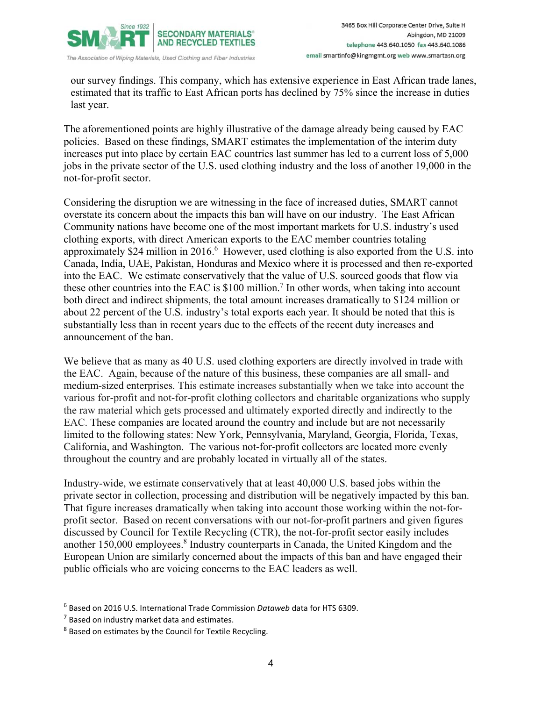

3465 Box Hill Corporate Center Drive, Suite H Abingdon, MD 21009 telephone 443.640.1050 fax 443.640.1086 email smartinfo@kingmgmt.org web www.smartasn.org

our survey findings. This company, which has extensive experience in East African trade lanes, estimated that its traffic to East African ports has declined by 75% since the increase in duties last year.

The aforementioned points are highly illustrative of the damage already being caused by EAC policies. Based on these findings, SMART estimates the implementation of the interim duty increases put into place by certain EAC countries last summer has led to a current loss of 5,000 jobs in the private sector of the U.S. used clothing industry and the loss of another 19,000 in the not-for-profit sector.

Considering the disruption we are witnessing in the face of increased duties, SMART cannot overstate its concern about the impacts this ban will have on our industry. The East African Community nations have become one of the most important markets for U.S. industry's used clothing exports, with direct American exports to the EAC member countries totaling approximately \$24 million in 2016. $6$  However, used clothing is also exported from the U.S. into Canada, India, UAE, Pakistan, Honduras and Mexico where it is processed and then re-exported into the EAC. We estimate conservatively that the value of U.S. sourced goods that flow via these other countries into the EAC is  $$100$  million.<sup>7</sup> In other words, when taking into account both direct and indirect shipments, the total amount increases dramatically to \$124 million or about 22 percent of the U.S. industry's total exports each year. It should be noted that this is substantially less than in recent years due to the effects of the recent duty increases and announcement of the ban.

We believe that as many as 40 U.S. used clothing exporters are directly involved in trade with the EAC. Again, because of the nature of this business, these companies are all small- and medium-sized enterprises. This estimate increases substantially when we take into account the various for-profit and not-for-profit clothing collectors and charitable organizations who supply the raw material which gets processed and ultimately exported directly and indirectly to the EAC. These companies are located around the country and include but are not necessarily limited to the following states: New York, Pennsylvania, Maryland, Georgia, Florida, Texas, California, and Washington. The various not-for-profit collectors are located more evenly throughout the country and are probably located in virtually all of the states.

Industry-wide, we estimate conservatively that at least 40,000 U.S. based jobs within the private sector in collection, processing and distribution will be negatively impacted by this ban. That figure increases dramatically when taking into account those working within the not-forprofit sector. Based on recent conversations with our not-for-profit partners and given figures discussed by Council for Textile Recycling (CTR), the not-for-profit sector easily includes another 150,000 employees.<sup>8</sup> Industry counterparts in Canada, the United Kingdom and the European Union are similarly concerned about the impacts of this ban and have engaged their public officials who are voicing concerns to the EAC leaders as well.

<sup>6</sup> Based on 2016 U.S. International Trade Commission *Dataweb* data for HTS 6309.

 $<sup>7</sup>$  Based on industry market data and estimates.</sup>

<sup>&</sup>lt;sup>8</sup> Based on estimates by the Council for Textile Recycling.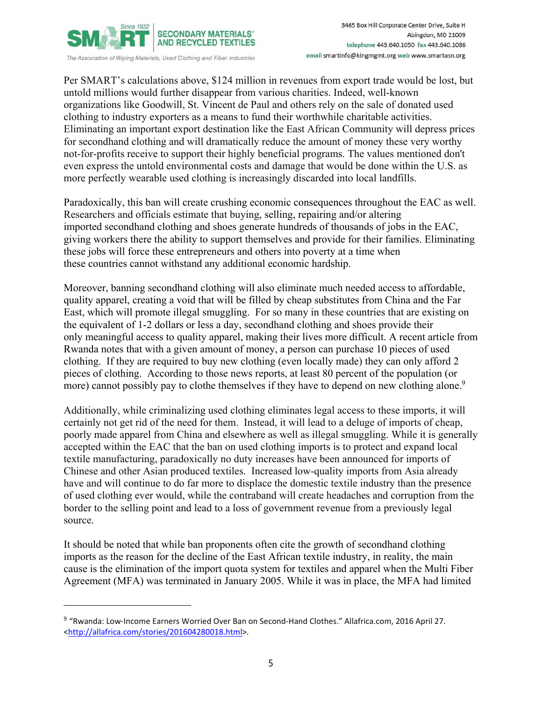

Per SMART's calculations above, \$124 million in revenues from export trade would be lost, but untold millions would further disappear from various charities. Indeed, well-known organizations like Goodwill, St. Vincent de Paul and others rely on the sale of donated used clothing to industry exporters as a means to fund their worthwhile charitable activities. Eliminating an important export destination like the East African Community will depress prices for secondhand clothing and will dramatically reduce the amount of money these very worthy not-for-profits receive to support their highly beneficial programs. The values mentioned don't even express the untold environmental costs and damage that would be done within the U.S. as more perfectly wearable used clothing is increasingly discarded into local landfills.

Paradoxically, this ban will create crushing economic consequences throughout the EAC as well. Researchers and officials estimate that buying, selling, repairing and/or altering imported secondhand clothing and shoes generate hundreds of thousands of jobs in the EAC, giving workers there the ability to support themselves and provide for their families. Eliminating these jobs will force these entrepreneurs and others into poverty at a time when these countries cannot withstand any additional economic hardship.

Moreover, banning secondhand clothing will also eliminate much needed access to affordable, quality apparel, creating a void that will be filled by cheap substitutes from China and the Far East, which will promote illegal smuggling. For so many in these countries that are existing on the equivalent of 1-2 dollars or less a day, secondhand clothing and shoes provide their only meaningful access to quality apparel, making their lives more difficult. A recent article from Rwanda notes that with a given amount of money, a person can purchase 10 pieces of used clothing. If they are required to buy new clothing (even locally made) they can only afford 2 pieces of clothing. According to those news reports, at least 80 percent of the population (or more) cannot possibly pay to clothe themselves if they have to depend on new clothing alone.<sup>9</sup>

Additionally, while criminalizing used clothing eliminates legal access to these imports, it will certainly not get rid of the need for them. Instead, it will lead to a deluge of imports of cheap, poorly made apparel from China and elsewhere as well as illegal smuggling. While it is generally accepted within the EAC that the ban on used clothing imports is to protect and expand local textile manufacturing, paradoxically no duty increases have been announced for imports of Chinese and other Asian produced textiles. Increased low-quality imports from Asia already have and will continue to do far more to displace the domestic textile industry than the presence of used clothing ever would, while the contraband will create headaches and corruption from the border to the selling point and lead to a loss of government revenue from a previously legal source.

It should be noted that while ban proponents often cite the growth of secondhand clothing imports as the reason for the decline of the East African textile industry, in reality, the main cause is the elimination of the import quota system for textiles and apparel when the Multi Fiber Agreement (MFA) was terminated in January 2005. While it was in place, the MFA had limited

 $\overline{a}$ 

<sup>9</sup> "Rwanda: Low‐Income Earners Worried Over Ban on Second‐Hand Clothes." Allafrica.com, 2016 April 27. <http://allafrica.com/stories/201604280018.html>.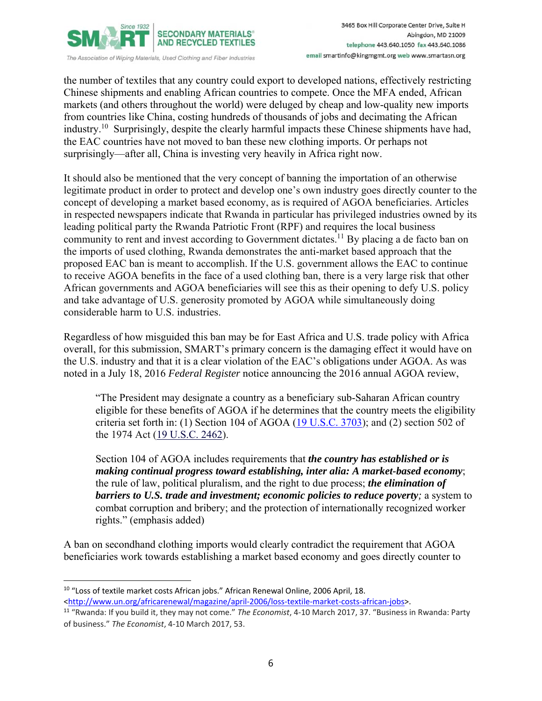

the number of textiles that any country could export to developed nations, effectively restricting Chinese shipments and enabling African countries to compete. Once the MFA ended, African markets (and others throughout the world) were deluged by cheap and low-quality new imports from countries like China, costing hundreds of thousands of jobs and decimating the African industry.<sup>10</sup> Surprisingly, despite the clearly harmful impacts these Chinese shipments have had, the EAC countries have not moved to ban these new clothing imports. Or perhaps not surprisingly—after all, China is investing very heavily in Africa right now.

It should also be mentioned that the very concept of banning the importation of an otherwise legitimate product in order to protect and develop one's own industry goes directly counter to the concept of developing a market based economy, as is required of AGOA beneficiaries. Articles in respected newspapers indicate that Rwanda in particular has privileged industries owned by its leading political party the Rwanda Patriotic Front (RPF) and requires the local business community to rent and invest according to Government dictates.<sup>11</sup> By placing a de facto ban on the imports of used clothing, Rwanda demonstrates the anti-market based approach that the proposed EAC ban is meant to accomplish. If the U.S. government allows the EAC to continue to receive AGOA benefits in the face of a used clothing ban, there is a very large risk that other African governments and AGOA beneficiaries will see this as their opening to defy U.S. policy and take advantage of U.S. generosity promoted by AGOA while simultaneously doing considerable harm to U.S. industries.

Regardless of how misguided this ban may be for East Africa and U.S. trade policy with Africa overall, for this submission, SMART's primary concern is the damaging effect it would have on the U.S. industry and that it is a clear violation of the EAC's obligations under AGOA. As was noted in a July 18, 2016 *Federal Register* notice announcing the 2016 annual AGOA review,

"The President may designate a country as a beneficiary sub-Saharan African country eligible for these benefits of AGOA if he determines that the country meets the eligibility criteria set forth in: (1) Section 104 of AGOA  $(19$  U.S.C.  $3703$ ); and (2) section 502 of the 1974 Act (19 U.S.C. 2462).

Section 104 of AGOA includes requirements that *the country has established or is making continual progress toward establishing, inter alia: A market-based economy*; the rule of law, political pluralism, and the right to due process; *the elimination of barriers to U.S. trade and investment; economic policies to reduce poverty;* a system to combat corruption and bribery; and the protection of internationally recognized worker rights." (emphasis added)

A ban on secondhand clothing imports would clearly contradict the requirement that AGOA beneficiaries work towards establishing a market based economy and goes directly counter to

<sup>10 &</sup>quot;Loss of textile market costs African jobs." African Renewal Online, 2006 April, 18. <http://www.un.org/africarenewal/magazine/april-2006/loss-textile-market-costs-african-jobs>.

<sup>11</sup> "Rwanda: If you build it, they may not come." *The Economist*, 4‐10 March 2017, 37. "Business in Rwanda: Party of business." *The Economist*, 4‐10 March 2017, 53.